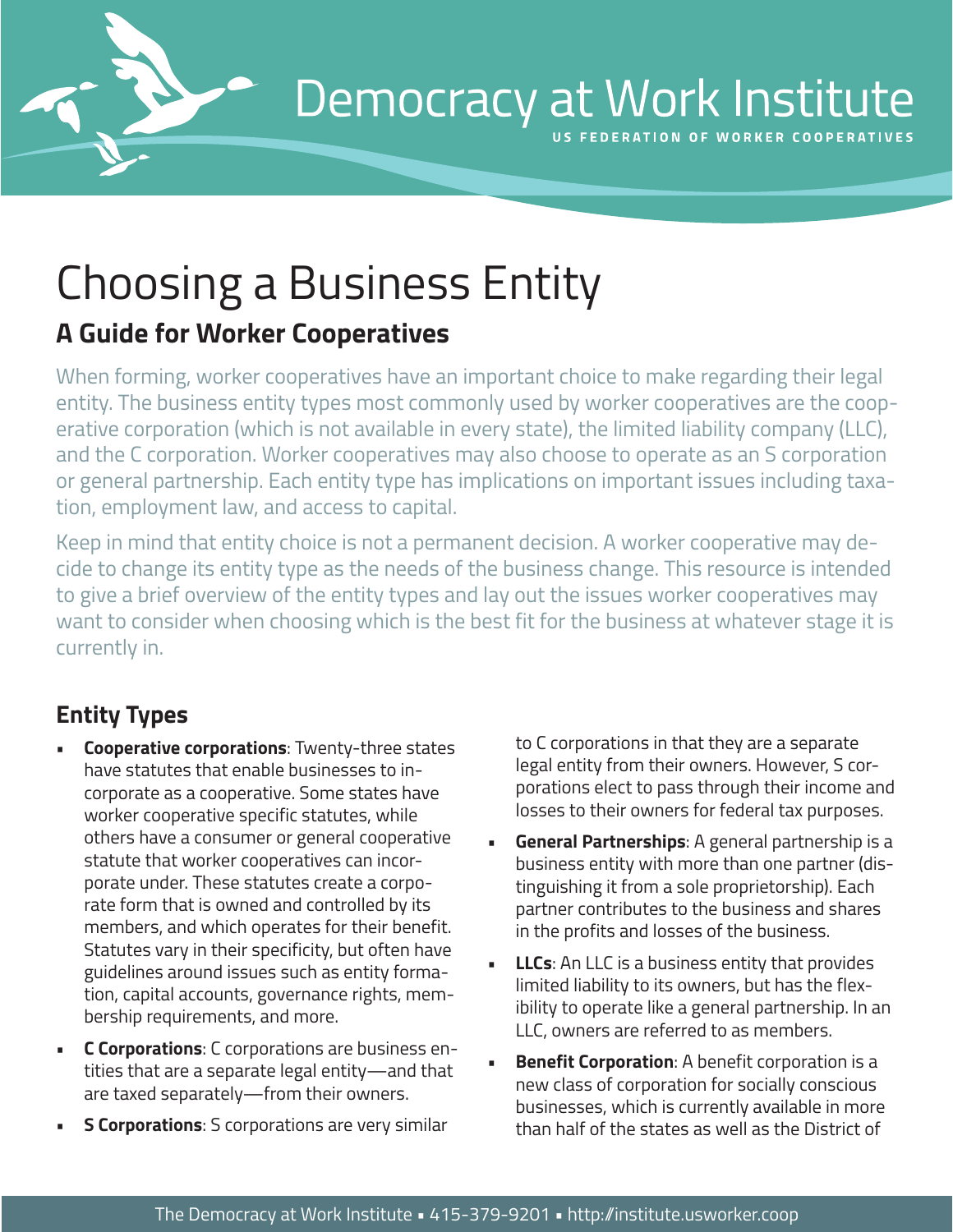

# Democracy at Work Institute

**ERATION OF WORKER COOPERATIVES** 

# Choosing a Business Entity

## **A Guide for Worker Cooperatives**

When forming, worker cooperatives have an important choice to make regarding their legal entity. The business entity types most commonly used by worker cooperatives are the cooperative corporation (which is not available in every state), the limited liability company (LLC), and the C corporation. Worker cooperatives may also choose to operate as an S corporation or general partnership. Each entity type has implications on important issues including taxation, employment law, and access to capital.

Keep in mind that entity choice is not a permanent decision. A worker cooperative may decide to change its entity type as the needs of the business change. This resource is intended to give a brief overview of the entity types and lay out the issues worker cooperatives may want to consider when choosing which is the best fit for the business at whatever stage it is currently in.

### **Entity Types**

- **• Cooperative corporations**: Twenty-three states have statutes that enable businesses to incorporate as a cooperative. Some states have worker cooperative specific statutes, while others have a consumer or general cooperative statute that worker cooperatives can incorporate under. These statutes create a corporate form that is owned and controlled by its members, and which operates for their benefit. Statutes vary in their specificity, but often have guidelines around issues such as entity formation, capital accounts, governance rights, membership requirements, and more.
- **• C Corporations**: C corporations are business entities that are a separate legal entity—and that are taxed separately—from their owners.
- **5 Corporations:** S corporations are very similar

to C corporations in that they are a separate legal entity from their owners. However, S corporations elect to pass through their income and losses to their owners for federal tax purposes.

- **General Partnerships:** A general partnership is a business entity with more than one partner (distinguishing it from a sole proprietorship). Each partner contributes to the business and shares in the profits and losses of the business.
- **LLCs:** An LLC is a business entity that provides limited liability to its owners, but has the flexibility to operate like a general partnership. In an LLC, owners are referred to as members.
- **Benefit Corporation:** A benefit corporation is a new class of corporation for socially conscious businesses, which is currently available in more than half of the states as well as the District of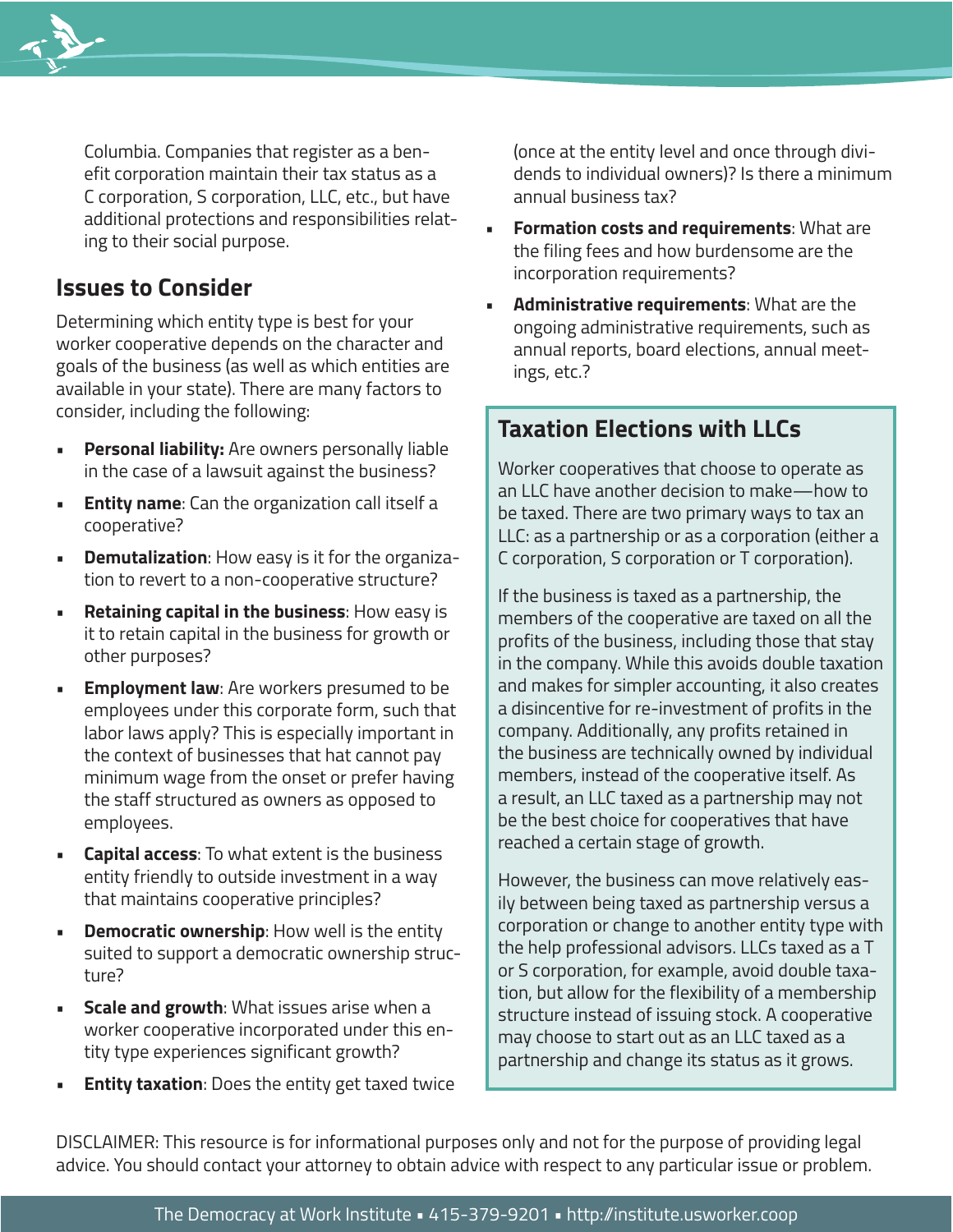

Columbia. Companies that register as a benefit corporation maintain their tax status as a C corporation, S corporation, LLC, etc., but have additional protections and responsibilities relating to their social purpose.

#### **Issues to Consider**

Determining which entity type is best for your worker cooperative depends on the character and goals of the business (as well as which entities are available in your state). There are many factors to consider, including the following:

- **Personal liability:** Are owners personally liable in the case of a lawsuit against the business?
- **Entity name:** Can the organization call itself a cooperative?
- **Demutalization**: How easy is it for the organization to revert to a non-cooperative structure?
- **• Retaining capital in the business**: How easy is it to retain capital in the business for growth or other purposes?
- **Employment law:** Are workers presumed to be employees under this corporate form, such that labor laws apply? This is especially important in the context of businesses that hat cannot pay minimum wage from the onset or prefer having the staff structured as owners as opposed to employees.
- **• Capital access**: To what extent is the business entity friendly to outside investment in a way that maintains cooperative principles?
- **Democratic ownership:** How well is the entity suited to support a democratic ownership structure?
- **• Scale and growth**: What issues arise when a worker cooperative incorporated under this entity type experiences significant growth?
- **Entity taxation:** Does the entity get taxed twice

(once at the entity level and once through dividends to individual owners)? Is there a minimum annual business tax?

- **Formation costs and requirements: What are** the filing fees and how burdensome are the incorporation requirements?
- **Administrative requirements: What are the** ongoing administrative requirements, such as annual reports, board elections, annual meetings, etc.?

#### **Taxation Elections with LLCs**

Worker cooperatives that choose to operate as an LLC have another decision to make—how to be taxed. There are two primary ways to tax an LLC: as a partnership or as a corporation (either a C corporation, S corporation or T corporation).

If the business is taxed as a partnership, the members of the cooperative are taxed on all the profits of the business, including those that stay in the company. While this avoids double taxation and makes for simpler accounting, it also creates a disincentive for re-investment of profits in the company. Additionally, any profits retained in the business are technically owned by individual members, instead of the cooperative itself. As a result, an LLC taxed as a partnership may not be the best choice for cooperatives that have reached a certain stage of growth.

However, the business can move relatively easily between being taxed as partnership versus a corporation or change to another entity type with the help professional advisors. LLCs taxed as a T or S corporation, for example, avoid double taxation, but allow for the flexibility of a membership structure instead of issuing stock. A cooperative may choose to start out as an LLC taxed as a partnership and change its status as it grows.

DISCLAIMER: This resource is for informational purposes only and not for the purpose of providing legal advice. You should contact your attorney to obtain advice with respect to any particular issue or problem.